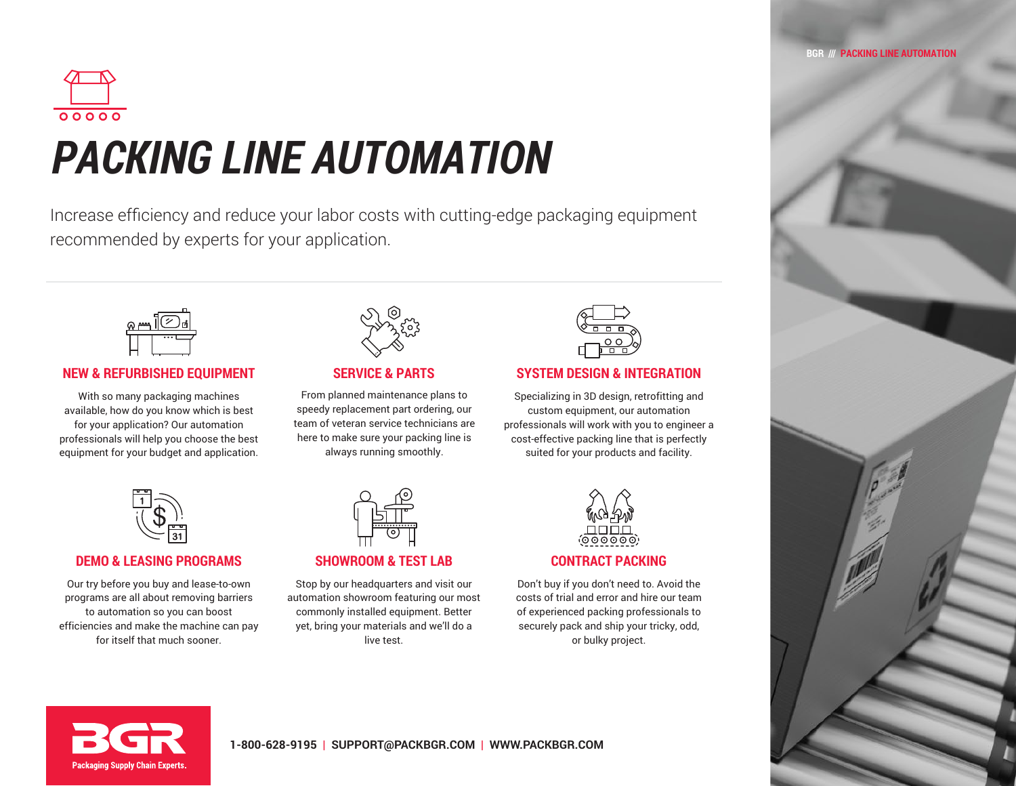

# *PACKING LINE AUTOMATION*

Increase efficiency and reduce your labor costs with cutting-edge packaging equipment recommended by experts for your application.



## **NEW & REFURBISHED EQUIPMENT SERVICE & PARTS SYSTEM DESIGN & INTEGRATION**

With so many packaging machines available, how do you know which is best for your application? Our automation professionals will help you choose the best equipment for your budget and application.



## **DEMO & LEASING PROGRAMS SHOWROOM & TEST LAB CONTRACT PACKING**

Our try before you buy and lease-to-own programs are all about removing barriers to automation so you can boost efficiencies and make the machine can pay for itself that much sooner.



From planned maintenance plans to speedy replacement part ordering, our team of veteran service technicians are here to make sure your packing line is always running smoothly.



Stop by our headquarters and visit our automation showroom featuring our most commonly installed equipment. Better yet, bring your materials and we'll do a live test.



Specializing in 3D design, retrofitting and custom equipment, our automation professionals will work with you to engineer a cost-effective packing line that is perfectly suited for your products and facility.



Don't buy if you don't need to. Avoid the costs of trial and error and hire our team of experienced packing professionals to securely pack and ship your tricky, odd, or bulky project.



### **BGR /// PACKING LINE AUTOMATION**